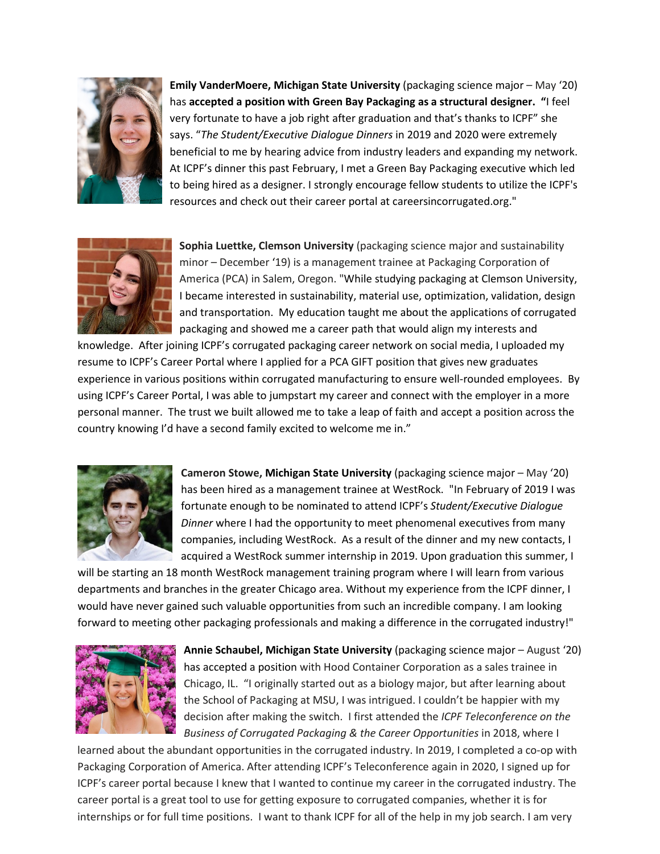

**Emily VanderMoere, Michigan State University** (packaging science major – May '20) has **accepted a position with Green Bay Packaging as a structural designer. "**I feel very fortunate to have a job right after graduation and that's thanks to ICPF" she says. "*The Student/Executive Dialogue Dinners* in 2019 and 2020 were extremely beneficial to me by hearing advice from industry leaders and expanding my network. At ICPF's dinner this past February, I met a Green Bay Packaging executive which led to being hired as a designer. I strongly encourage fellow students to utilize the ICPF's resources and check out their career portal at careersincorrugated.org."



**Sophia Luettke, Clemson University** (packaging science major and sustainability minor – December '19) is a management trainee at Packaging Corporation of America (PCA) in Salem, Oregon. "While studying packaging at Clemson University, I became interested in sustainability, material use, optimization, validation, design and transportation. My education taught me about the applications of corrugated packaging and showed me a career path that would align my interests and

knowledge. After joining ICPF's corrugated packaging career network on social media, I uploaded my resume to ICPF's Career Portal where I applied for a PCA GIFT position that gives new graduates experience in various positions within corrugated manufacturing to ensure well-rounded employees. By using ICPF's Career Portal, I was able to jumpstart my career and connect with the employer in a more personal manner. The trust we built allowed me to take a leap of faith and accept a position across the country knowing I'd have a second family excited to welcome me in."



**Cameron Stowe, Michigan State University** (packaging science major – May '20) has been hired as a management trainee at WestRock. "In February of 2019 I was fortunate enough to be nominated to attend ICPF's *Student/Executive Dialogue Dinner* where I had the opportunity to meet phenomenal executives from many companies, including WestRock. As a result of the dinner and my new contacts, I acquired a WestRock summer internship in 2019. Upon graduation this summer, I

will be starting an 18 month WestRock management training program where I will learn from various departments and branches in the greater Chicago area. Without my experience from the ICPF dinner, I would have never gained such valuable opportunities from such an incredible company. I am looking forward to meeting other packaging professionals and making a difference in the corrugated industry!"



**Annie Schaubel, Michigan State University** (packaging science major – August '20) has accepted a position with Hood Container Corporation as a sales trainee in Chicago, IL. "I originally started out as a biology major, but after learning about the School of Packaging at MSU, I was intrigued. I couldn't be happier with my decision after making the switch. I first attended the *ICPF Teleconference on the Business of Corrugated Packaging & the Career Opportunities* in 2018, where I

learned about the abundant opportunities in the corrugated industry. In 2019, I completed a co-op with Packaging Corporation of America. After attending ICPF's Teleconference again in 2020, I signed up for ICPF's career portal because I knew that I wanted to continue my career in the corrugated industry. The career portal is a great tool to use for getting exposure to corrugated companies, whether it is for internships or for full time positions. I want to thank ICPF for all of the help in my job search. I am very